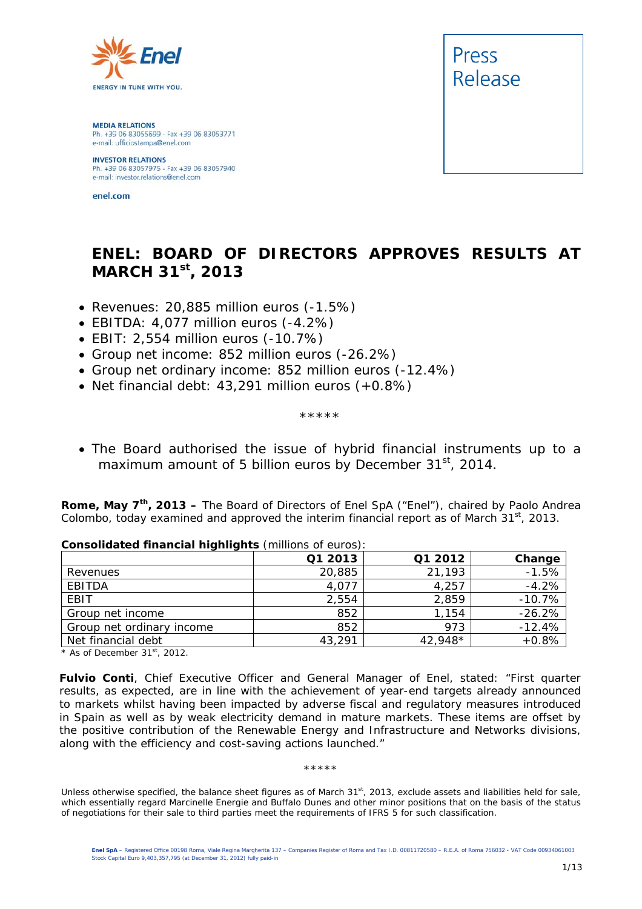

**MEDIA RELATIONS** Ph. +39 06 83055699 - Fax +39 06 83053771 e-mail: ufficiostampa@enel.com

**INVESTOR RELATIONS**<br>Ph. +39 06 83057975 - Fax +39 06 83057940 e-mail: investor.relations@enel.com

enel.com



# **ENEL: BOARD OF DIRECTORS APPROVES RESULTS AT MARCH 31st, 2013**

- *Revenues: 20,885 million euros (-1.5%)*
- *EBITDA: 4,077 million euros (-4.2%)*
- *EBIT: 2,554 million euros (-10.7%)*
- *Group net income: 852 million euros (-26.2%)*
- *Group net ordinary income: 852 million euros (-12.4%)*
- *Net financial debt: 43,291 million euros (+0.8%)*

*\*\*\*\*\** 

 *The Board authorised the issue of hybrid financial instruments up to a maximum amount of 5 billion euros by December 31st, 2014.* 

**Rome, May 7th, 2013 –** The Board of Directors of Enel SpA ("Enel"), chaired by Paolo Andrea Colombo, today examined and approved the interim financial report as of March  $31<sup>st</sup>$ , 2013.

|                           | Q1 2013 | Q1 2012 | Change   |
|---------------------------|---------|---------|----------|
| Revenues                  | 20,885  | 21,193  | $-1.5%$  |
| EBITDA                    | 4,077   | 4,257   | $-4.2%$  |
| EBIT                      | 2,554   | 2,859   | $-10.7%$ |
| Group net income          | 852     | 1,154   | $-26.2%$ |
| Group net ordinary income | 852     | 973     | $-12.4%$ |
| Net financial debt        | 43,291  | 42,948* | $+0.8%$  |

# **Consolidated financial highlights** (millions of euros):

*\* As of December 31st, 2012.* 

**Fulvio Conti**, Chief Executive Officer and General Manager of Enel, stated: "*First quarter results, as expected, are in line with the achievement of year-end targets already announced to markets whilst having been impacted by adverse fiscal and regulatory measures introduced in Spain as well as by weak electricity demand in mature markets. These items are offset by the positive contribution of the Renewable Energy and Infrastructure and Networks divisions, along with the efficiency and cost-saving actions launched.*"

#### \*\*\*\*\*

Unless otherwise specified, the balance sheet figures as of March 31<sup>st</sup>, 2013, exclude assets and liabilities held for sale, which essentially regard Marcinelle Energie and Buffalo Dunes and other minor positions that on the basis of the status of negotiations for their sale to third parties meet the requirements of IFRS 5 for such classification.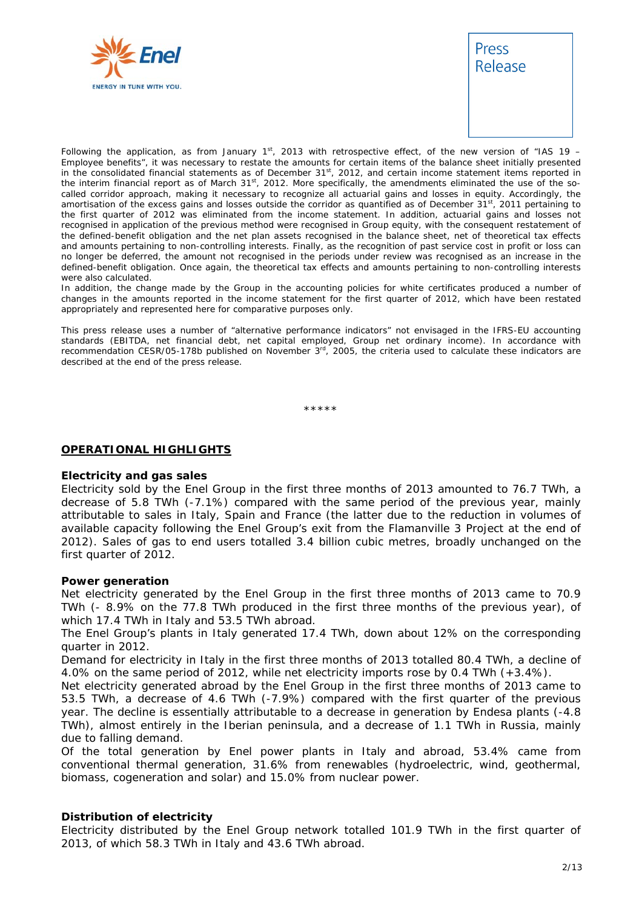



Following the application, as from January 1st, 2013 with retrospective effect, of the new version of "IAS 19 – Employee benefits", it was necessary to restate the amounts for certain items of the balance sheet initially presented in the consolidated financial statements as of December 31<sup>st</sup>, 2012, and certain income statement items reported in the interim financial report as of March 31<sup>st</sup>, 2012. More specifically, the amendments eliminated the use of the socalled corridor approach, making it necessary to recognize all actuarial gains and losses in equity. Accordingly, the amortisation of the excess gains and losses outside the corridor as quantified as of December 31<sup>st</sup>, 2011 pertaining to the first quarter of 2012 was eliminated from the income statement. In addition, actuarial gains and losses not recognised in application of the previous method were recognised in Group equity, with the consequent restatement of the defined-benefit obligation and the net plan assets recognised in the balance sheet, net of theoretical tax effects and amounts pertaining to non-controlling interests. Finally, as the recognition of past service cost in profit or loss can no longer be deferred, the amount not recognised in the periods under review was recognised as an increase in the defined-benefit obligation. Once again, the theoretical tax effects and amounts pertaining to non-controlling interests were also calculated.

In addition, the change made by the Group in the accounting policies for white certificates produced a number of changes in the amounts reported in the income statement for the first quarter of 2012, which have been restated appropriately and represented here for comparative purposes only.

This press release uses a number of "alternative performance indicators" not envisaged in the IFRS-EU accounting standards (EBITDA, net financial debt, net capital employed, Group net ordinary income). In accordance with recommendation CESR/05-178b published on November 3<sup>rd</sup>, 2005, the criteria used to calculate these indicators are described at the end of the press release.

\*\*\*\*\*

#### **OPERATIONAL HIGHLIGHTS**

#### **Electricity and gas sales**

Electricity sold by the Enel Group in the first three months of 2013 amounted to 76.7 TWh, a decrease of 5.8 TWh (-7.1%) compared with the same period of the previous year, mainly attributable to sales in Italy, Spain and France (the latter due to the reduction in volumes of available capacity following the Enel Group's exit from the Flamanville 3 Project at the end of 2012). Sales of gas to end users totalled 3.4 billion cubic metres, broadly unchanged on the first quarter of 2012.

#### **Power generation**

Net electricity generated by the Enel Group in the first three months of 2013 came to 70.9 TWh (- 8.9% on the 77.8 TWh produced in the first three months of the previous year), of which 17.4 TWh in Italy and 53.5 TWh abroad.

The Enel Group's plants in Italy generated 17.4 TWh, down about 12% on the corresponding quarter in 2012.

Demand for electricity in Italy in the first three months of 2013 totalled 80.4 TWh, a decline of 4.0% on the same period of 2012, while net electricity imports rose by 0.4 TWh (+3.4%).

Net electricity generated abroad by the Enel Group in the first three months of 2013 came to 53.5 TWh, a decrease of 4.6 TWh (-7.9%) compared with the first quarter of the previous year. The decline is essentially attributable to a decrease in generation by Endesa plants (-4.8 TWh), almost entirely in the Iberian peninsula, and a decrease of 1.1 TWh in Russia, mainly due to falling demand.

Of the total generation by Enel power plants in Italy and abroad, 53.4% came from conventional thermal generation, 31.6% from renewables (hydroelectric, wind, geothermal, biomass, cogeneration and solar) and 15.0% from nuclear power.

#### **Distribution of electricity**

Electricity distributed by the Enel Group network totalled 101.9 TWh in the first quarter of 2013, of which 58.3 TWh in Italy and 43.6 TWh abroad.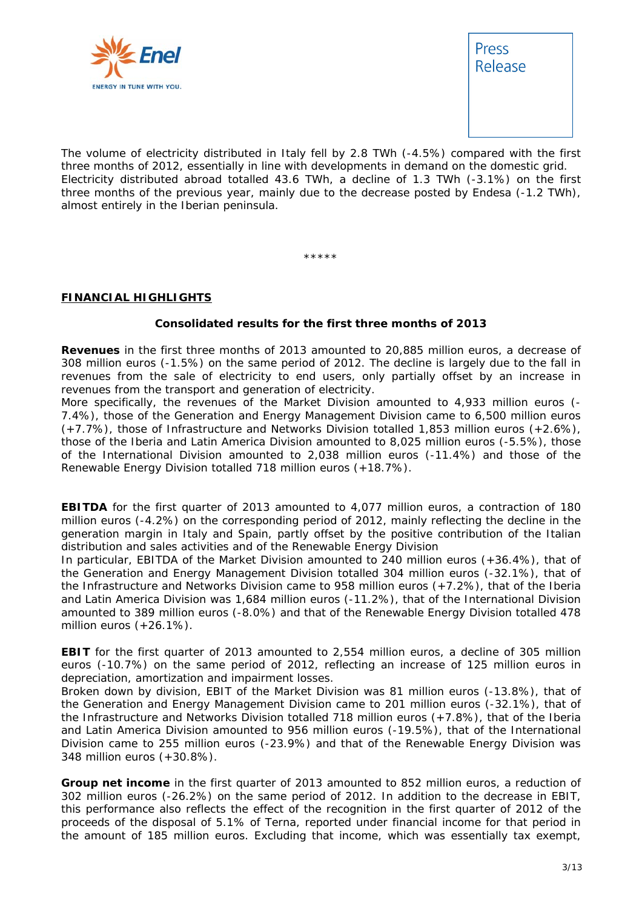



The volume of electricity distributed in Italy fell by 2.8 TWh (-4.5%) compared with the first three months of 2012, essentially in line with developments in demand on the domestic grid. Electricity distributed abroad totalled 43.6 TWh, a decline of 1.3 TWh (-3.1%) on the first three months of the previous year, mainly due to the decrease posted by Endesa (-1.2 TWh), almost entirely in the Iberian peninsula.

\*\*\*\*\*

# **FINANCIAL HIGHLIGHTS**

## **Consolidated results for the first three months of 2013**

**Revenues** in the first three months of 2013 amounted to 20,885 million euros, a decrease of 308 million euros (-1.5%) on the same period of 2012. The decline is largely due to the fall in revenues from the sale of electricity to end users, only partially offset by an increase in revenues from the transport and generation of electricity.

More specifically, the revenues of the Market Division amounted to 4,933 million euros (- 7.4%), those of the Generation and Energy Management Division came to 6,500 million euros (+7.7%), those of Infrastructure and Networks Division totalled 1,853 million euros (+2.6%), those of the Iberia and Latin America Division amounted to 8,025 million euros (-5.5%), those of the International Division amounted to 2,038 million euros (-11.4%) and those of the Renewable Energy Division totalled 718 million euros (+18.7%).

**EBITDA** for the first quarter of 2013 amounted to 4,077 million euros, a contraction of 180 million euros (-4.2%) on the corresponding period of 2012, mainly reflecting the decline in the generation margin in Italy and Spain, partly offset by the positive contribution of the Italian distribution and sales activities and of the Renewable Energy Division

In particular, EBITDA of the Market Division amounted to 240 million euros (+36.4%), that of the Generation and Energy Management Division totalled 304 million euros (-32.1%), that of the Infrastructure and Networks Division came to 958 million euros (+7.2%), that of the Iberia and Latin America Division was 1,684 million euros (-11.2%), that of the International Division amounted to 389 million euros (-8.0%) and that of the Renewable Energy Division totalled 478 million euros (+26.1%).

**EBIT** for the first quarter of 2013 amounted to 2,554 million euros, a decline of 305 million euros (-10.7%) on the same period of 2012, reflecting an increase of 125 million euros in depreciation, amortization and impairment losses.

Broken down by division, EBIT of the Market Division was 81 million euros (-13.8%), that of the Generation and Energy Management Division came to 201 million euros (-32.1%), that of the Infrastructure and Networks Division totalled 718 million euros (+7.8%), that of the Iberia and Latin America Division amounted to 956 million euros (-19.5%), that of the International Division came to 255 million euros (-23.9%) and that of the Renewable Energy Division was 348 million euros (+30.8%).

**Group net income** in the first quarter of 2013 amounted to 852 million euros, a reduction of 302 million euros (-26.2%) on the same period of 2012. In addition to the decrease in EBIT, this performance also reflects the effect of the recognition in the first quarter of 2012 of the proceeds of the disposal of 5.1% of Terna, reported under financial income for that period in the amount of 185 million euros. Excluding that income, which was essentially tax exempt,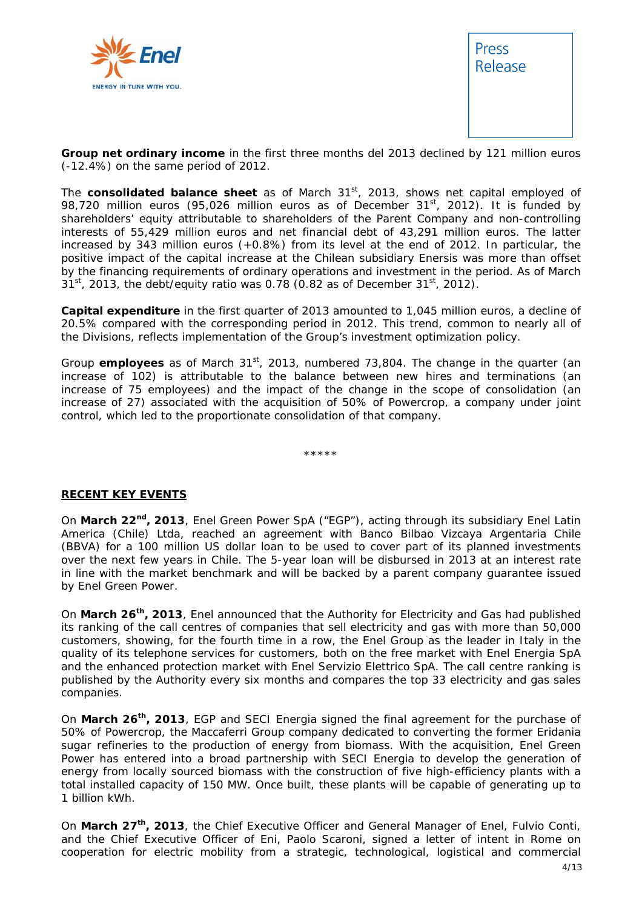



**Group net ordinary income** in the first three months del 2013 declined by 121 million euros (-12.4%) on the same period of 2012.

The **consolidated balance sheet** as of March 31<sup>st</sup>, 2013, shows net capital employed of 98,720 million euros (95,026 million euros as of December 31<sup>st</sup>, 2012). It is funded by shareholders' equity attributable to shareholders of the Parent Company and non-controlling interests of 55,429 million euros and net financial debt of 43,291 million euros. The latter increased by 343 million euros (+0.8%) from its level at the end of 2012. In particular, the positive impact of the capital increase at the Chilean subsidiary Enersis was more than offset by the financing requirements of ordinary operations and investment in the period. As of March  $31<sup>st</sup>$ , 2013, the debt/equity ratio was 0.78 (0.82 as of December 31<sup>st</sup>, 2012).

**Capital expenditure** in the first quarter of 2013 amounted to 1,045 million euros, a decline of 20.5% compared with the corresponding period in 2012. This trend, common to nearly all of the Divisions, reflects implementation of the Group's investment optimization policy.

Group **employees** as of March 31st, 2013, numbered 73,804. The change in the quarter (an increase of 102) is attributable to the balance between new hires and terminations (an increase of 75 employees) and the impact of the change in the scope of consolidation (an increase of 27) associated with the acquisition of 50% of Powercrop, a company under joint control, which led to the proportionate consolidation of that company.

\*\*\*\*\*

## **RECENT KEY EVENTS**

On **March 22nd, 2013**, Enel Green Power SpA ("EGP"), acting through its subsidiary Enel Latin America (Chile) Ltda, reached an agreement with Banco Bilbao Vizcaya Argentaria Chile (BBVA) for a 100 million US dollar loan to be used to cover part of its planned investments over the next few years in Chile. The 5-year loan will be disbursed in 2013 at an interest rate in line with the market benchmark and will be backed by a parent company guarantee issued by Enel Green Power.

On **March 26th, 2013**, Enel announced that the Authority for Electricity and Gas had published its ranking of the call centres of companies that sell electricity and gas with more than 50,000 customers, showing, for the fourth time in a row, the Enel Group as the leader in Italy in the quality of its telephone services for customers, both on the free market with Enel Energia SpA and the enhanced protection market with Enel Servizio Elettrico SpA. The call centre ranking is published by the Authority every six months and compares the top 33 electricity and gas sales companies.

On **March 26th, 2013**, EGP and SECI Energia signed the final agreement for the purchase of 50% of Powercrop, the Maccaferri Group company dedicated to converting the former Eridania sugar refineries to the production of energy from biomass. With the acquisition, Enel Green Power has entered into a broad partnership with SECI Energia to develop the generation of energy from locally sourced biomass with the construction of five high-efficiency plants with a total installed capacity of 150 MW. Once built, these plants will be capable of generating up to 1 billion kWh.

On **March 27th, 2013**, the Chief Executive Officer and General Manager of Enel, Fulvio Conti, and the Chief Executive Officer of Eni, Paolo Scaroni, signed a letter of intent in Rome on cooperation for electric mobility from a strategic, technological, logistical and commercial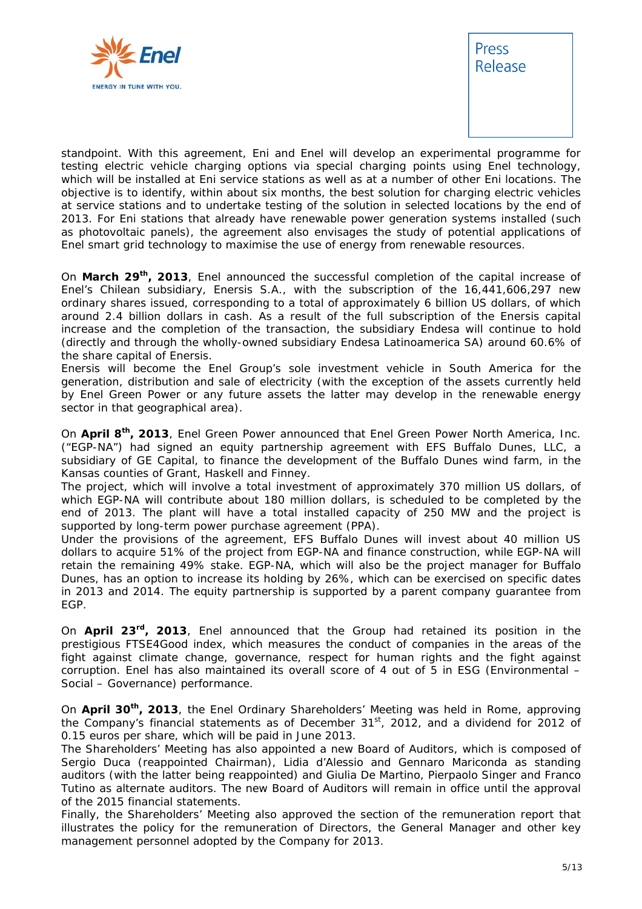



standpoint. With this agreement, Eni and Enel will develop an experimental programme for testing electric vehicle charging options via special charging points using Enel technology, which will be installed at Eni service stations as well as at a number of other Eni locations. The objective is to identify, within about six months, the best solution for charging electric vehicles at service stations and to undertake testing of the solution in selected locations by the end of 2013. For Eni stations that already have renewable power generation systems installed (such as photovoltaic panels), the agreement also envisages the study of potential applications of Enel smart grid technology to maximise the use of energy from renewable resources.

On **March 29th, 2013**, Enel announced the successful completion of the capital increase of Enel's Chilean subsidiary, Enersis S.A., with the subscription of the 16,441,606,297 new ordinary shares issued, corresponding to a total of approximately 6 billion US dollars, of which around 2.4 billion dollars in cash. As a result of the full subscription of the Enersis capital increase and the completion of the transaction, the subsidiary Endesa will continue to hold (directly and through the wholly-owned subsidiary Endesa Latinoamerica SA) around 60.6% of the share capital of Enersis.

Enersis will become the Enel Group's sole investment vehicle in South America for the generation, distribution and sale of electricity (with the exception of the assets currently held by Enel Green Power or any future assets the latter may develop in the renewable energy sector in that geographical area).

On **April 8th, 2013**, Enel Green Power announced that Enel Green Power North America, Inc. ("EGP-NA") had signed an equity partnership agreement with EFS Buffalo Dunes, LLC, a subsidiary of GE Capital, to finance the development of the Buffalo Dunes wind farm, in the Kansas counties of Grant, Haskell and Finney.

The project, which will involve a total investment of approximately 370 million US dollars, of which EGP-NA will contribute about 180 million dollars, is scheduled to be completed by the end of 2013. The plant will have a total installed capacity of 250 MW and the project is supported by long-term power purchase agreement (PPA).

Under the provisions of the agreement, EFS Buffalo Dunes will invest about 40 million US dollars to acquire 51% of the project from EGP-NA and finance construction, while EGP-NA will retain the remaining 49% stake. EGP-NA, which will also be the project manager for Buffalo Dunes, has an option to increase its holding by 26%, which can be exercised on specific dates in 2013 and 2014. The equity partnership is supported by a parent company guarantee from EGP.

On **April 23rd, 2013**, Enel announced that the Group had retained its position in the prestigious FTSE4Good index, which measures the conduct of companies in the areas of the fight against climate change, governance, respect for human rights and the fight against corruption. Enel has also maintained its overall score of 4 out of 5 in ESG (Environmental – Social – Governance) performance.

On **April 30th, 2013**, the Enel Ordinary Shareholders' Meeting was held in Rome, approving the Company's financial statements as of December  $31<sup>st</sup>$ , 2012, and a dividend for 2012 of 0.15 euros per share, which will be paid in June 2013.

The Shareholders' Meeting has also appointed a new Board of Auditors, which is composed of Sergio Duca (reappointed Chairman), Lidia d'Alessio and Gennaro Mariconda as standing auditors (with the latter being reappointed) and Giulia De Martino, Pierpaolo Singer and Franco Tutino as alternate auditors. The new Board of Auditors will remain in office until the approval of the 2015 financial statements.

Finally, the Shareholders' Meeting also approved the section of the remuneration report that illustrates the policy for the remuneration of Directors, the General Manager and other key management personnel adopted by the Company for 2013.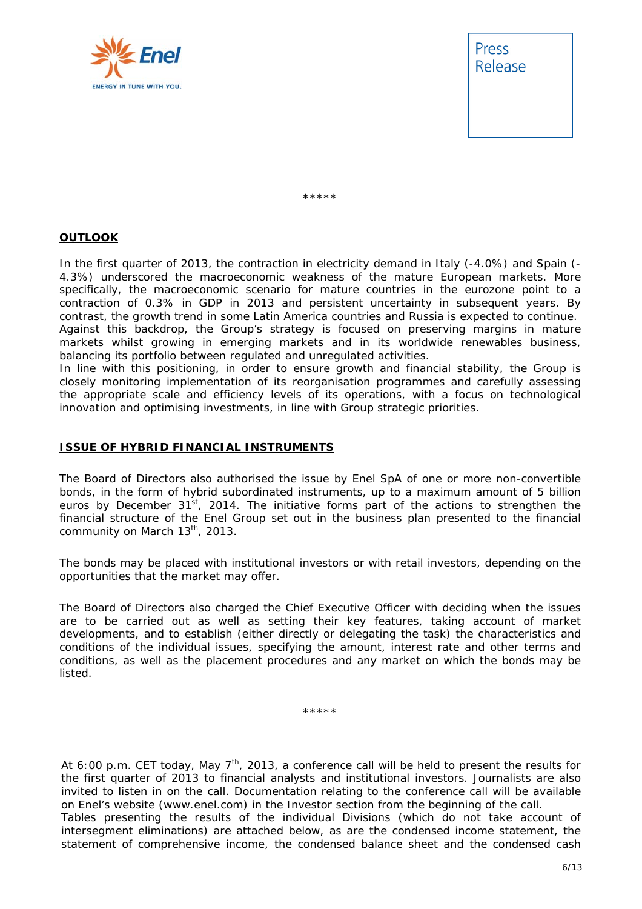



\*\*\*\*\*

# **OUTLOOK**

In the first quarter of 2013, the contraction in electricity demand in Italy (-4.0%) and Spain (- 4.3%) underscored the macroeconomic weakness of the mature European markets. More specifically, the macroeconomic scenario for mature countries in the eurozone point to a contraction of 0.3% in GDP in 2013 and persistent uncertainty in subsequent years. By contrast, the growth trend in some Latin America countries and Russia is expected to continue. Against this backdrop, the Group's strategy is focused on preserving margins in mature markets whilst growing in emerging markets and in its worldwide renewables business, balancing its portfolio between regulated and unregulated activities.

In line with this positioning, in order to ensure growth and financial stability, the Group is closely monitoring implementation of its reorganisation programmes and carefully assessing the appropriate scale and efficiency levels of its operations, with a focus on technological innovation and optimising investments, in line with Group strategic priorities.

#### **ISSUE OF HYBRID FINANCIAL INSTRUMENTS**

The Board of Directors also authorised the issue by Enel SpA of one or more non-convertible bonds, in the form of hybrid subordinated instruments, up to a maximum amount of 5 billion euros by December  $31<sup>st</sup>$ , 2014. The initiative forms part of the actions to strengthen the financial structure of the Enel Group set out in the business plan presented to the financial community on March  $13<sup>th</sup>$ , 2013.

The bonds may be placed with institutional investors or with retail investors, depending on the opportunities that the market may offer.

The Board of Directors also charged the Chief Executive Officer with deciding when the issues are to be carried out as well as setting their key features, taking account of market developments, and to establish (either directly or delegating the task) the characteristics and conditions of the individual issues, specifying the amount, interest rate and other terms and conditions, as well as the placement procedures and any market on which the bonds may be listed.

\*\*\*\*\*

*At 6:00 p.m. CET today, May 7th, 2013, a conference call will be held to present the results for the first quarter of 2013 to financial analysts and institutional investors. Journalists are also invited to listen in on the call. Documentation relating to the conference call will be available on Enel's website (www.enel.com) in the Investor section from the beginning of the call.*  Tables presenting the results of the individual Divisions (which do not take account of *intersegment eliminations) are attached below, as are the condensed income statement, the statement of comprehensive income, the condensed balance sheet and the condensed cash*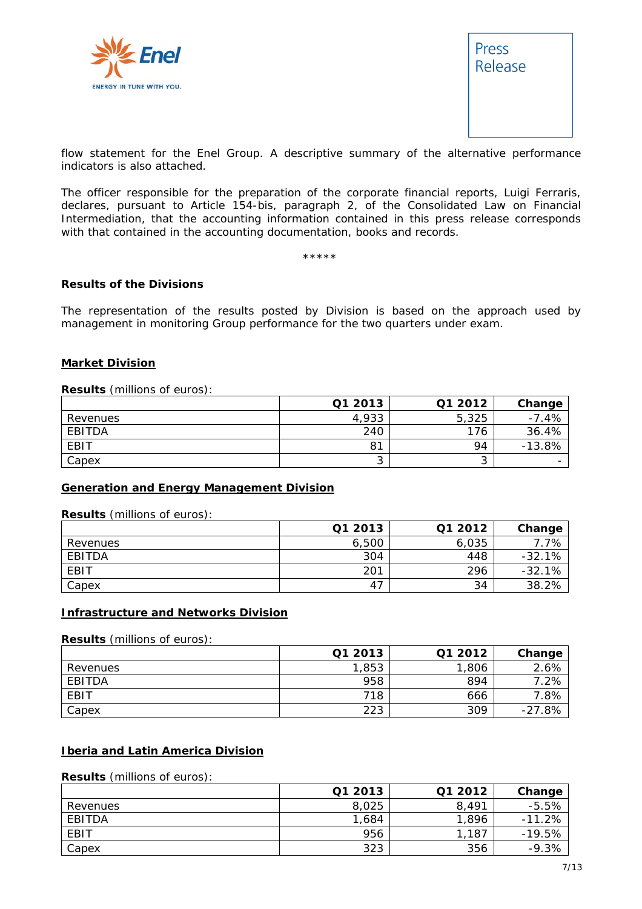



*flow statement for the Enel Group. A descriptive summary of the alternative performance indicators is also attached.* 

*The officer responsible for the preparation of the corporate financial reports, Luigi Ferraris, declares, pursuant to Article 154-bis, paragraph 2, of the Consolidated Law on Financial Intermediation, that the accounting information contained in this press release corresponds with that contained in the accounting documentation, books and records.* 

\*\*\*\*\*

#### **Results of the Divisions**

The representation of the results posted by Division is based on the approach used by management in monitoring Group performance for the two quarters under exam.

#### **Market Division**

#### **Results** (millions of euros):

|          | Q1 2013 | Q1 2012 | Change   |
|----------|---------|---------|----------|
| Revenues | 4,933   | 5,325   | $-7.4%$  |
| EBITDA   | 240     | 176     | 36.4%    |
| EBIT     | 81      | 94      | $-13.8%$ |
| Capex    |         | ັ       |          |

#### **Generation and Energy Management Division**

#### **Results** (millions of euros):

|               | Q1 2013 | Q1 2012 | Change   |
|---------------|---------|---------|----------|
| Revenues      | 6,500   | 6,035   | .7%      |
| <b>EBITDA</b> | 304     | 448     | $-32.1%$ |
| EBIT          | 201     | 296     | $-32.1%$ |
| Capex         | 47      | 34      | 38.2%    |

#### **Infrastructure and Networks Division**

#### **Results** (millions of euros):

|          | Q1 2013 | Q1 2012 | Change   |
|----------|---------|---------|----------|
| Revenues | 1,853   | 1,806   | 2.6%     |
| EBITDA   | 958     | 894     | .2%      |
| EBIT     | 718     | 666     | 7.8%     |
| Capex    | 223     | 309     | $-27.8%$ |

#### **Iberia and Latin America Division**

## **Results** (millions of euros):

|          | Q1 2013 | Q1 2012 | Change   |
|----------|---------|---------|----------|
| Revenues | 8.025   | 8.491   | $-5.5%$  |
| EBITDA   | 1,684   | 1,896   | $-11.2%$ |
| EBIT     | 956     | 1,187   | $-19.5%$ |
| Capex    | 323     | 356     | $-9.3%$  |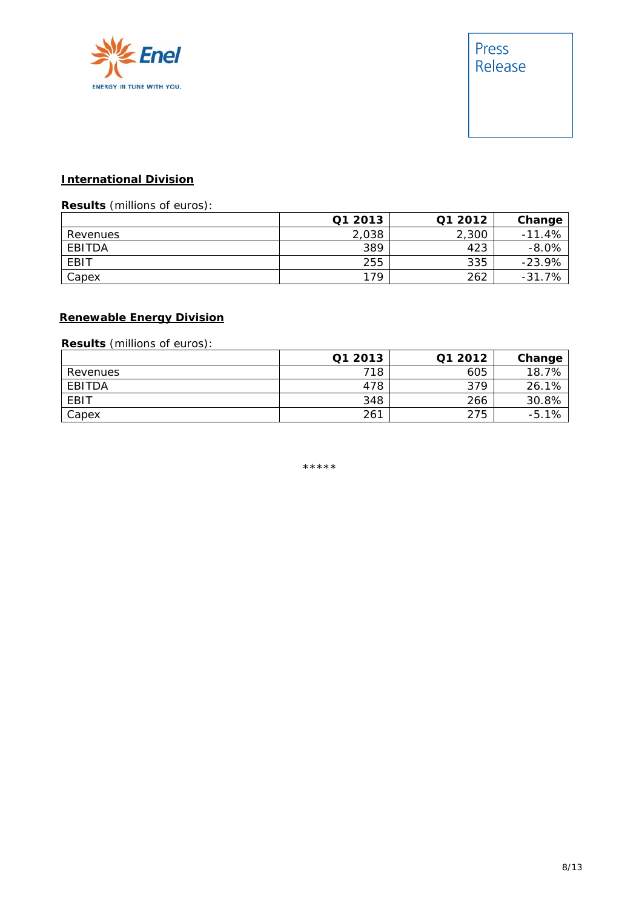

## **International Division**

# **Results** (millions of euros):

|          | Q1 2013 | Q1 2012 | Change   |
|----------|---------|---------|----------|
| Revenues | 2,038   | 2,300   | $-11.4%$ |
| EBITDA   | 389     | 423     | $-8.0%$  |
| EBIT     | 255     | 335     | $-23.9%$ |
| Capex    | 179     | 262     | $-31.7%$ |

# **Renewable Energy Division**

# **Results** (millions of euros):

|          | Q1 2013 | Q1 2012 | Change  |
|----------|---------|---------|---------|
| Revenues | 718     | 605     | 18.7%   |
| EBITDA   | 478     | 379     | 26.1%   |
| EBIT     | 348     | 266     | 30.8%   |
| Capex    | 261     | 275     | $-5.1%$ |

\*\*\*\*\*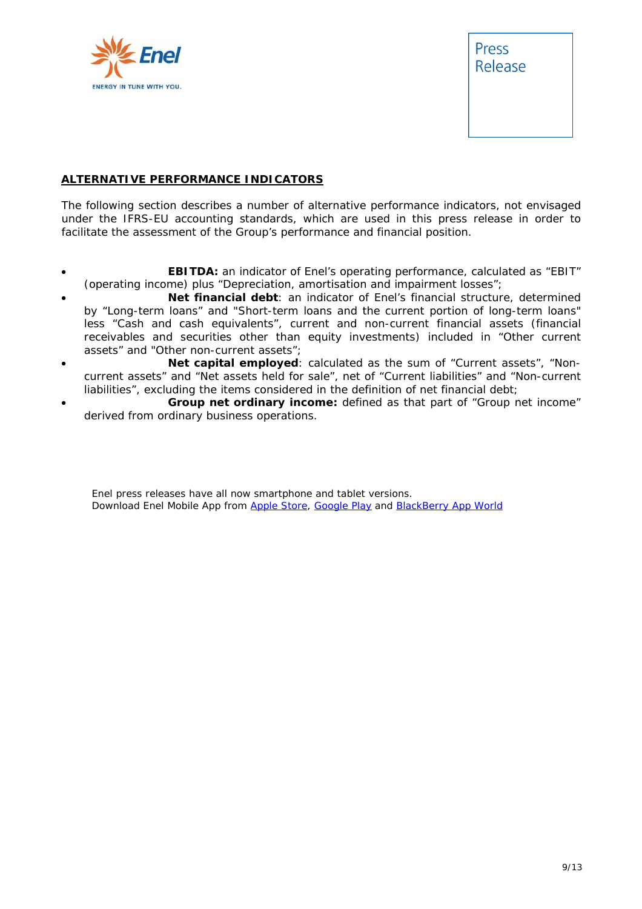

Press Release

## **ALTERNATIVE PERFORMANCE INDICATORS**

The following section describes a number of alternative performance indicators, not envisaged under the IFRS-EU accounting standards, which are used in this press release in order to facilitate the assessment of the Group's performance and financial position.

- **EBITDA:** an indicator of Enel's operating performance, calculated as "EBIT" (operating income) plus "Depreciation, amortisation and impairment losses";
- **Net financial debt**: an indicator of Enel's financial structure, determined by "Long-term loans" and "Short-term loans and the current portion of long-term loans" less "Cash and cash equivalents", current and non-current financial assets (financial receivables and securities other than equity investments) included in "Other current assets" and "Other non-current assets";
- **Net capital employed**: calculated as the sum of "Current assets", "Noncurrent assets" and "Net assets held for sale", net of "Current liabilities" and "Non-current liabilities", excluding the items considered in the definition of net financial debt;
- **Group net ordinary income:** defined as that part of "Group net income" derived from ordinary business operations.

Enel press releases have all now smartphone and tablet versions. Download Enel Mobile App from Apple Store, Google Play and BlackBerry App World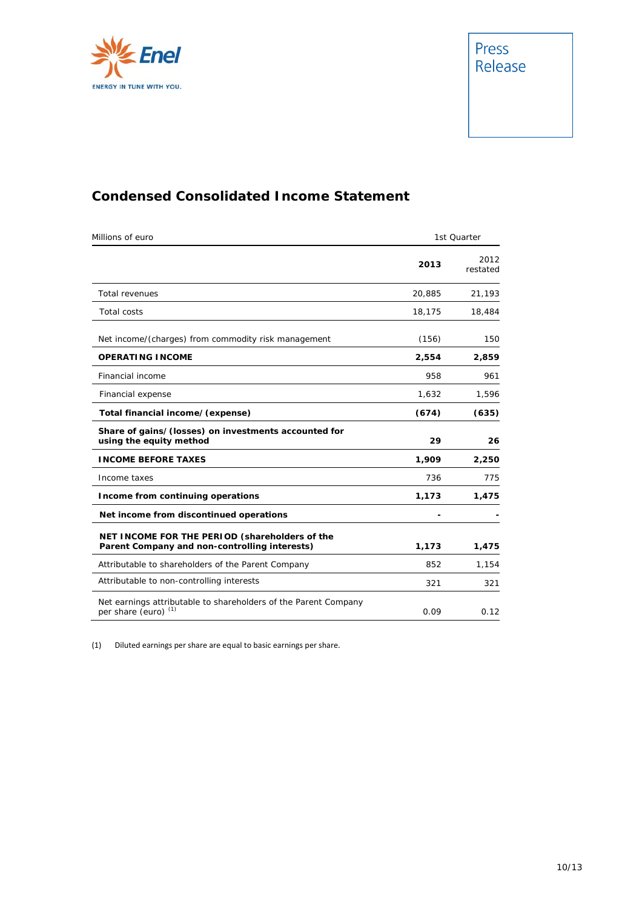

# **Condensed Consolidated Income Statement**

| Millions of euro                                                                                   | 1st Quarter |                  |
|----------------------------------------------------------------------------------------------------|-------------|------------------|
|                                                                                                    | 2013        | 2012<br>restated |
| <b>Total revenues</b>                                                                              | 20,885      | 21,193           |
| <b>Total costs</b>                                                                                 | 18,175      | 18,484           |
| Net income/(charges) from commodity risk management                                                | (156)       | 150              |
| <b>OPERATING INCOME</b>                                                                            | 2,554       | 2,859            |
| Financial income                                                                                   | 958         | 961              |
| Financial expense                                                                                  | 1,632       | 1,596            |
| Total financial income/(expense)                                                                   | (674)       | (635)            |
| Share of gains/(losses) on investments accounted for<br>using the equity method                    | 29          | 26               |
| <b>INCOME BEFORE TAXES</b>                                                                         | 1,909       | 2,250            |
| Income taxes                                                                                       | 736         | 775              |
| Income from continuing operations                                                                  | 1,173       | 1,475            |
| Net income from discontinued operations                                                            |             |                  |
| NET INCOME FOR THE PERIOD (shareholders of the<br>Parent Company and non-controlling interests)    | 1,173       | 1,475            |
| Attributable to shareholders of the Parent Company                                                 | 852         | 1,154            |
| Attributable to non-controlling interests                                                          | 321         | 321              |
| Net earnings attributable to shareholders of the Parent Company<br>per share (euro) <sup>(1)</sup> | 0.09        | 0.12             |

(1) Diluted earnings per share are equal to basic earnings per share.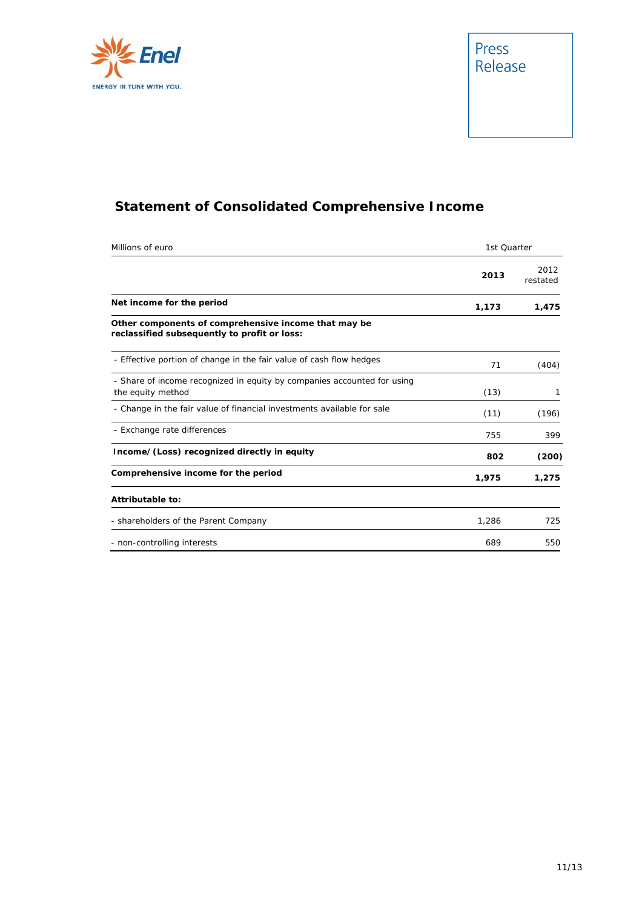

# **Statement of Consolidated Comprehensive Income**

| Millions of euro                                                                                     | 1st Quarter |                  |
|------------------------------------------------------------------------------------------------------|-------------|------------------|
|                                                                                                      | 2013        | 2012<br>restated |
| Net income for the period                                                                            | 1,173       | 1,475            |
| Other components of comprehensive income that may be<br>reclassified subsequently to profit or loss: |             |                  |
| - Effective portion of change in the fair value of cash flow hedges                                  | 71          | (404)            |
| - Share of income recognized in equity by companies accounted for using<br>the equity method         | (13)        | 1                |
| - Change in the fair value of financial investments available for sale                               | (11)        | (196)            |
| - Exchange rate differences                                                                          | 755         | 399              |
| Income/(Loss) recognized directly in equity                                                          | 802         | (200)            |
| Comprehensive income for the period                                                                  | 1,975       | 1,275            |
| Attributable to:                                                                                     |             |                  |
| - shareholders of the Parent Company                                                                 | 1,286       | 725              |
| - non-controlling interests                                                                          | 689         | 550              |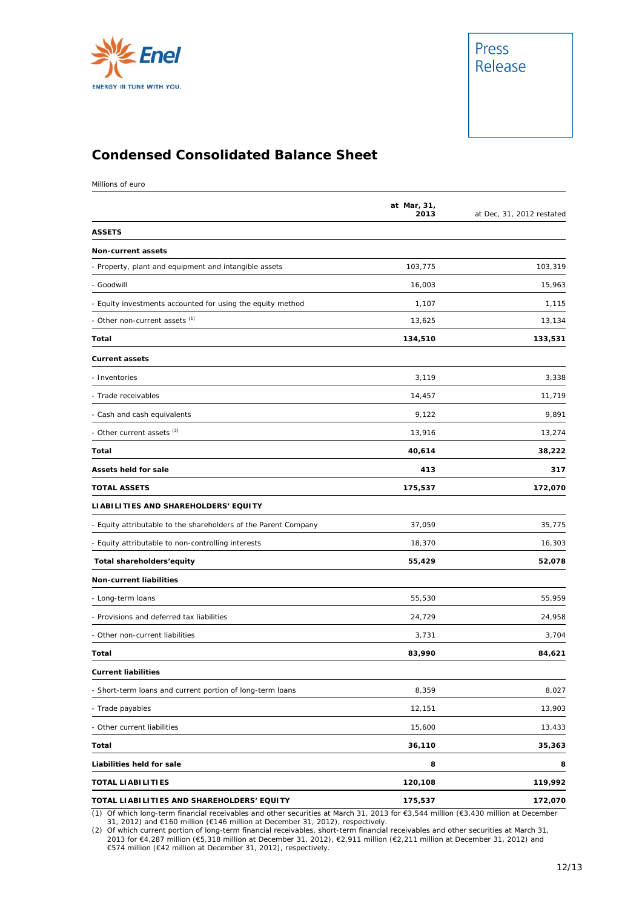

# **Condensed Consolidated Balance Sheet**

Millions of euro

|                                                                 | at Mar, 31,<br>2013 | at Dec, 31, 2012 restated |
|-----------------------------------------------------------------|---------------------|---------------------------|
| <b>ASSETS</b>                                                   |                     |                           |
| Non-current assets                                              |                     |                           |
| - Property, plant and equipment and intangible assets           | 103,775             | 103,319                   |
| - Goodwill                                                      | 16,003              | 15,963                    |
| - Equity investments accounted for using the equity method      | 1,107               | 1,115                     |
| - Other non-current assets (1)                                  | 13,625              | 13,134                    |
| Total                                                           | 134,510             | 133,531                   |
| <b>Current assets</b>                                           |                     |                           |
| - Inventories                                                   | 3,119               | 3,338                     |
| - Trade receivables                                             | 14,457              | 11,719                    |
| - Cash and cash equivalents                                     | 9,122               | 9,891                     |
| - Other current assets <sup>(2)</sup>                           | 13,916              | 13,274                    |
| Total                                                           | 40,614              | 38,222                    |
| <b>Assets held for sale</b>                                     | 413                 | 317                       |
| <b>TOTAL ASSETS</b>                                             | 175,537             | 172,070                   |
| LIABILITIES AND SHAREHOLDERS' EQUITY                            |                     |                           |
| - Equity attributable to the shareholders of the Parent Company | 37,059              | 35,775                    |
| - Equity attributable to non-controlling interests              | 18,370              | 16,303                    |
| Total shareholders'equity                                       | 55,429              | 52,078                    |
| <b>Non-current liabilities</b>                                  |                     |                           |
| - Long-term loans                                               | 55,530              | 55,959                    |
| - Provisions and deferred tax liabilities                       | 24,729              | 24,958                    |
| - Other non-current liabilities                                 | 3,731               | 3,704                     |
| Total                                                           | 83,990              | 84,621                    |
| <b>Current liabilities</b>                                      |                     |                           |
| - Short-term loans and current portion of long-term loans       | 8,359               | 8,027                     |
| - Trade payables                                                | 12,151              | 13,903                    |
| - Other current liabilities                                     | 15,600              | 13,433                    |
| Total                                                           | 36,110              | 35,363                    |
| Liabilities held for sale                                       | 8                   | 8                         |
| <b>TOTAL LIABILITIES</b>                                        | 120,108             | 119,992                   |
| TOTAL LIABILITIES AND SHAREHOLDERS' EQUITY                      | 175,537             | 172,070                   |

(1) Of which long-term financial receivables and other securities at March 31, 2013 for €3,544 million (€3,430 million at December 31, 2012) and €160 million (€146 million at December 31, 2012), respectively. (2) Of which current portion of long-term financial receivables, short-term financial receivables and other securities at March 31,

2013 for €4,287 million (€5,318 million at December 31, 2012), €2,911 million (€2,211 million at December 31, 2012) and<br>€574 million (€42 million at December 31, 2012), respectively.